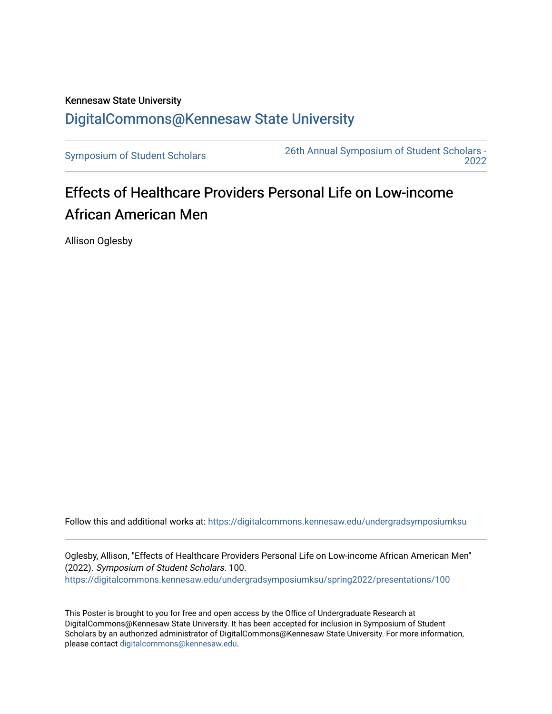## Kennesaw State University [DigitalCommons@Kennesaw State University](https://digitalcommons.kennesaw.edu/)

[Symposium of Student Scholars](https://digitalcommons.kennesaw.edu/undergradsymposiumksu) [26th Annual Symposium of Student Scholars -](https://digitalcommons.kennesaw.edu/undergradsymposiumksu/spring2022)  [2022](https://digitalcommons.kennesaw.edu/undergradsymposiumksu/spring2022) 

## Effects of Healthcare Providers Personal Life on Low-income African American Men

Allison Oglesby

Follow this and additional works at: [https://digitalcommons.kennesaw.edu/undergradsymposiumksu](https://digitalcommons.kennesaw.edu/undergradsymposiumksu?utm_source=digitalcommons.kennesaw.edu%2Fundergradsymposiumksu%2Fspring2022%2Fpresentations%2F100&utm_medium=PDF&utm_campaign=PDFCoverPages) 

Oglesby, Allison, "Effects of Healthcare Providers Personal Life on Low-income African American Men" (2022). Symposium of Student Scholars. 100. [https://digitalcommons.kennesaw.edu/undergradsymposiumksu/spring2022/presentations/100](https://digitalcommons.kennesaw.edu/undergradsymposiumksu/spring2022/presentations/100?utm_source=digitalcommons.kennesaw.edu%2Fundergradsymposiumksu%2Fspring2022%2Fpresentations%2F100&utm_medium=PDF&utm_campaign=PDFCoverPages)

This Poster is brought to you for free and open access by the Office of Undergraduate Research at DigitalCommons@Kennesaw State University. It has been accepted for inclusion in Symposium of Student Scholars by an authorized administrator of DigitalCommons@Kennesaw State University. For more information, please contact [digitalcommons@kennesaw.edu.](mailto:digitalcommons@kennesaw.edu)